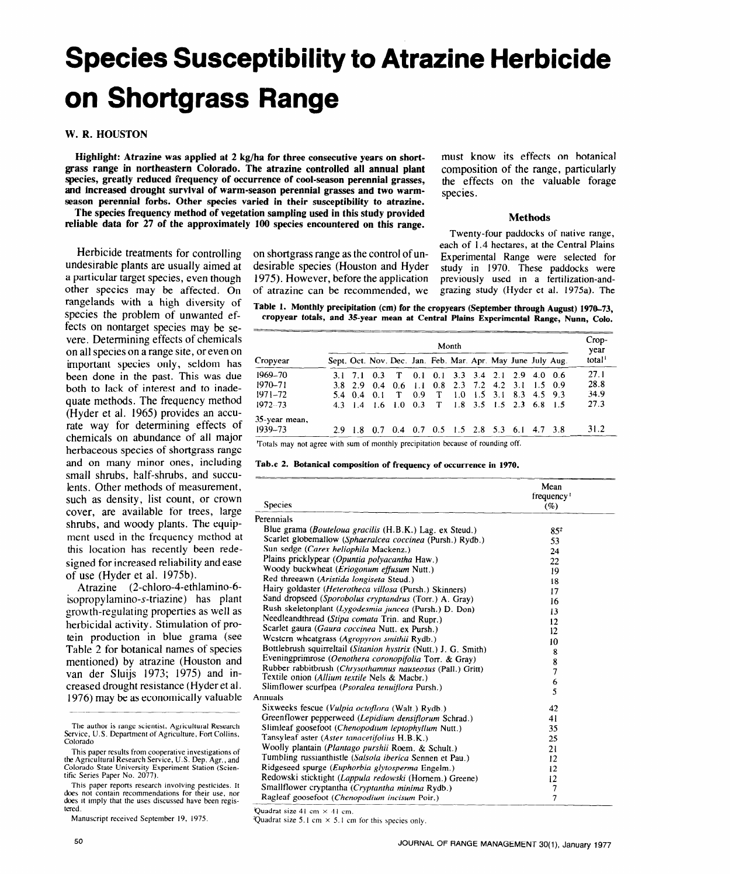# **Species Susceptibility to Atrazine Herbicide on Shortgrass Range**

## **W. R. HOUSTON**

**Highlight: Atrazine was applied at 2 kg/ha for three consecutive years on shortgrass range in northeastern Colorado. The atrazine controlled all annual plant species, greatly reduced frequency of occurrence of cool-season perennial grasses, and increased drought survival of warm-season perennial grasses and two warmseason perennial forbs. Other species varied in their susceptibility to atrazine.** 

**The species frequency method of vegetation sampling used in this study provided reliable data for 27 of the approximately 100 species encountered on this range.** 

Herbicide treatments for controlling undesirable plants are usually aimed at a particular target species, even though other species may be affected. On rangelands with a high diversity of species the problem of unwanted effects on nontarget species may be severe. Determining effects of chemicals on all species on a range site, or even on important species only, seldom has been done in the past. This was due both to lack of interest and to inadequate methods. The frequency method (Hyder et al. 1965) provides an accurate way for determining effects of chemicals on abundance of all major herbaceous species of shortgrass range and on many minor ones, including small shrubs, half-shrubs, and succulents. Other methods of measurement, such as density, list count, or crown cover, are available for trees, large shrubs, and woody plants. The equipment used in the frequency method at this location has recently been redesigned for increased reliability and ease of use (Hyder et al. 1975b).

Atrazine (2-chloro-4-ethlamino-6 isopropylamino-s-triazine) has plant growth-regulating properties as well as herbicidal activity. Stimulation of protein production in blue grama (see Table 2 for botanical names of species mentioned) by atrazine (Houston and van der Sluijs 1973; 1975) and increased drought resistance (Hyder et al. 1976) may be as economically valuable

This paper reports **research involving pesticides. It does not contain recommendations for their use, nor does it imply that the uses discussed have been regis**tered

```
Manuscript received September 19, 1975.
```
on shortgrass range as the control of undesirable species (Houston and Hyder 1975). However, before the application of atrazine can be recommended, we

must know its effects on botanical composition of the range, particularly the effects on the valuable forage species.

#### **Methods**

Twenty-four paddocks of native range, each of 1.4 hectares, at the Central Plains Experimental Range were selected for study in 1970. These paddocks were previously **used** in a fertilization-andgrazing study (Hyder et al. 1975a). The

**Table 1. Monthly precipitation (cm) for the cropyears (September through August)** 1970-73, **cropyear totals, and 35year mean at Central Plains Experimental Range, Nunn, Colo.** 

|               | Month |  |                   |                                                             |     |              |                                   |  | $Crop-$<br>year |  |                    |
|---------------|-------|--|-------------------|-------------------------------------------------------------|-----|--------------|-----------------------------------|--|-----------------|--|--------------------|
| Cropyear      |       |  |                   | Sept. Oct. Nov. Dec. Jan. Feb. Mar. Apr. May June July Aug. |     |              |                                   |  |                 |  | total <sup>1</sup> |
| $1969 - 70$   |       |  | $3.1$ $7.1$ $0.3$ | $\mathbf{T}$                                                |     |              | $0.1$ 0.1 3.3 3.4 2.1 2.9 4.0 0.6 |  |                 |  | 27.1               |
| $1970 - 71$   |       |  |                   | 3.8 2.9 0.4 0.6 1.1 0.8 2.3 7.2 4.2 3.1 1.5 0.9             |     |              |                                   |  |                 |  | 28.8               |
| $1971 - 72$   |       |  | 5.4 0.4 0.1 T     |                                                             | 0.9 | $\mathbf{T}$ | 1.0 1.5 3.1 8.3 4.5 9.3           |  |                 |  | 34.9               |
| $1972 - 73$   |       |  |                   | 4.3 1.4 1.6 1.0 0.3 T 1.8 3.5 1.5 2.3 6.8 1.5               |     |              |                                   |  |                 |  | 27.3               |
| 35-year mean, |       |  |                   |                                                             |     |              |                                   |  |                 |  |                    |
| 1939–73       |       |  |                   | 2.9 1.8 0.7 0.4 0.7 0.5 1.5 2.8 5.3 6.1 4.7 3.8             |     |              |                                   |  |                 |  | 31.2               |

**Totals may not agree with sum of monthly precipitation because of rounding off.** 

|  |  |  |  | Tab.e 2. Botanical composition of frequency of occurrence in 1970. |  |
|--|--|--|--|--------------------------------------------------------------------|--|
|--|--|--|--|--------------------------------------------------------------------|--|

| <b>Species</b>                                                  | Mean<br>frequency <sup>1</sup><br>$(\%)$ |
|-----------------------------------------------------------------|------------------------------------------|
| Perennials                                                      |                                          |
| Blue grama <i>(Bouteloua gracilis (H.B.K.)</i> Lag. ex Steud.)  | 85 <sup>2</sup>                          |
| Scarlet globemallow (Sphaeralcea coccinea (Pursh.) Rydb.)       | 53                                       |
| Sun sedge (Carex heliophila Mackenz.)                           | 24                                       |
| Plains pricklypear (Opuntia polyacantha Haw.)                   | 22                                       |
| Woody buckwheat (Eriogonum effusum Nutt.)                       | 19                                       |
| Red threeawn (Aristida longiseta Steud.)                        | 18                                       |
| Hairy goldaster (Heterotheca villosa (Pursh.) Skinners)         | 17                                       |
| Sand dropseed (Sporobolus cryptandrus (Torr.) A. Gray)          | 16                                       |
| Rush skeletonplant (Lygodesmia juncea (Pursh.) D. Don)          | 13                                       |
| Needleandthread (Stipa comata Trin. and Rupr.)                  | 12                                       |
| Scarlet gaura (Gaura coccinea Nutt. ex Pursh.)                  | 12                                       |
| Western wheatgrass (Agropyron smithii Rydb.)                    | 10                                       |
| Bottlebrush squirreltail (Sitanion hystrix (Nutt.) J. G. Smith) | 8                                        |
| Eveningprimrose (Oenothera coronopifolia Torr. & Gray)          | 8                                        |
| Rubber rabbitbrush (Chrysothamnus nauseosus (Pall.) Gritt)      | 7                                        |
| Textile onion (Allium textile Nels & Macbr.)                    | 6                                        |
| Slimflower scurfpea ( <i>Psoralea tenuiflora</i> Pursh.)        | 5                                        |
| Annuals                                                         |                                          |
| Sixweeks fescue (Vulpia octoflora (Walt.) Rydb.)                | 42                                       |
| Greenflower pepperweed (Lepidium densiflorum Schrad.)           | 41                                       |
| Slimleaf goosefoot (Chenopodium leptophyllum Nutt.)             | 35                                       |
| Tansyleaf aster (Aster tanacetifolius H.B.K.)                   | 25                                       |
| Woolly plantain (Plantago purshii Roem. & Schult.)              | 21                                       |
| Tumbling russianthistle (Salsola iberica Sennen et Pau.)        | 12                                       |
| Ridgeseed spurge (Euphorbia glytosperma Engelm.)                | 12                                       |
| Redowski sticktight (Lappula redowski (Hornem.) Greene)         | 12                                       |
| Smallflower cryptantha (Cryptantha minima Rydb.)                | $\overline{\phantom{a}}$                 |
| Ragleaf goosefoot (Chenopodium incisum Poir.)                   | 7                                        |

**Quadrat size 41 cm x 41 cm.** 

**Quadrat size 5.1 cm**  $\times$  **5.1 cm for this species only.** 

**The author is range scientist, Agricultural Research Service, U.S. Department of Agriculture, Fort Collins, Colorado** 

**This paper results from cooperative investigations of the Agricultural Research Service, U.S. Dep. Agr., and Colorado State University Experiment Station (Scien-tific** Series Paper No. 2077).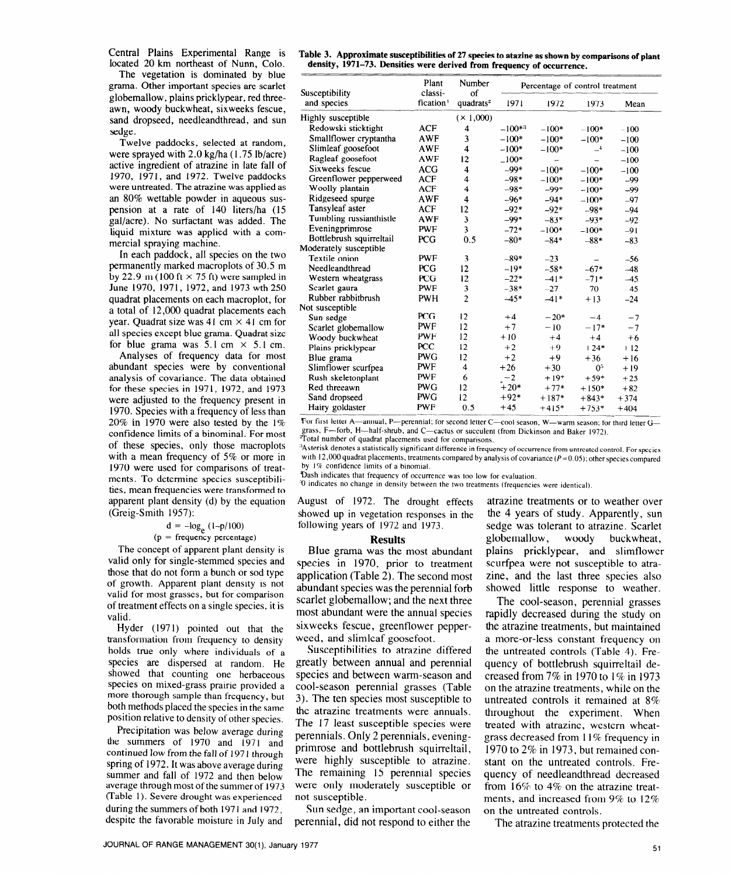Central Plains Experimental Range is located 20 km northeast of Nunn, Colo.

The vegetation is dominated by blue grama. Other important species are scarlet globemallow, plains pricklypear, red threeawn, woody buckwheat, sixweeks fescue, sand dropseed, needleandthread, and sun sedge.

Twelve paddocks, selected at random, were sprayed with 2.0 kg/ha (1.75 lb/acre) active ingredient of atrazine in late fall of 1970, 1971, and 1972. Twelve paddocks were untreated. The atrazine was applied as an 80% wettable powder in aqueous suspension at a rate of 140 liters/ha (15 gal/acre). No surfactant was added. The liquid mixture was applied with a commercial spraying machine.

In each paddock, all species on the two permanently marked macroplots of 30.5 m by 22.9 m (100 ft  $\times$  75 ft) were sampled in June 1970, 1971, 1972, and 1973 wth 250 quadrat placements on each macroplot, for a total of 12,000 quadrat placements each year. Quadrat size was 41 cm  $\times$  41 cm for all species except blue grama. Quadrat size for blue grama was  $5.1 \text{ cm} \times 5.1 \text{ cm}$ .

Analyses of frequency data for most abundant species were by conventional analysis of covariance. The data obtained for these species in 1971, 1972, and 1973 were adjusted to the frequency present in 1970. Species with a frequency of less than 20% in 1970 were also tested by the  $1\%$ confidence limits of a binominal. For most of these species, only those macroplots with a mean frequency of 5% or more in 1970 were used for comparisons of treatments. To determine species susceptibilities, mean frequencies were transformed to apparent plant density (d) by the equation (Greig-Smith 1957):

## $d = -log_e (1-p/100)$

#### $(p = frequency percentage)$

The concept of apparent plant density is valid only for single-stemmed species and those that do not form a bunch or sod type of growth. Apparent plant density is not valid for most grasses, but for comparison of treatment effects on a single species, it is valid.

Hyder (1971) pointed out that the transformation from frequency to density holds true only where individuals of a species are dispersed at random. He showed that counting one herbaceous species on mixed-grass prairie provided a **more** thorough sample than frequency, but both methods placed the species in the same position relative to density of other species.

Precipitation was below average **during**  the summers of 1970 and 1971 and continued low from the fall of 1971 through spring of 1972. It was above average during summer and fall of 1972 and then below average through most of the summer of 1973 (Table 1). Severe drought was experienced during the summers of both 1971 and 1972, despite the favorable moisture in July and

| Table 3. Approximate susceptibilities of 27 species to atazine as shown by comparisons of plant |
|-------------------------------------------------------------------------------------------------|
| density, 1971–73. Densities were derived from frequency of occurrence.                          |

| Susceptibility           | Plant<br>classi-      | Number<br>of          | Percentage of control treatment |         |                |        |  |
|--------------------------|-----------------------|-----------------------|---------------------------------|---------|----------------|--------|--|
| and species              | fication <sup>1</sup> | quadrats <sup>2</sup> | 1971                            | 1972    | 1973           | Mean   |  |
| Highly susceptible       |                       | (X 1,000)             |                                 |         |                |        |  |
| Redowski sticktight      | <b>ACF</b>            | 4                     | $-100**$                        | $-100*$ | $-100*$        | $-100$ |  |
| Smallflower cryptantha   | <b>AWF</b>            | 3                     | $-100*$                         | $-100*$ | $-100*$        | $-100$ |  |
| Slimleaf goosefoot       | AWF                   | 4                     | $-100*$                         | $-100*$ | $-4$           | $-100$ |  |
| Ragleaf goosefoot        | AWF                   | 12                    | $-100*$                         | ÷       |                | $-100$ |  |
| Sixweeks fescue          | <b>ACG</b>            | $\overline{\bf{4}}$   | $-99*$                          | $-100*$ | $-100*$        | $-100$ |  |
| Greenflower pepperweed   | <b>ACF</b>            | 4                     | $-98*$                          | $-100*$ | $-100*$        | $-99$  |  |
| Woolly plantain          | <b>ACF</b>            | 4                     | $-98*$                          | $-99*$  | $-100*$        | $-99$  |  |
| Ridgeseed spurge         | <b>AWF</b>            | 4                     | $-96*$                          | $-94*$  | $-100*$        | $-97$  |  |
| Tansyleaf aster          | <b>ACF</b>            | 12                    | $-92*$                          | $-92*$  | $-98*$         | $-94$  |  |
| Tumbling russianthistle  | <b>AWF</b>            | 3                     | $-99*$                          | $-83*$  | $-93*$         | $-92$  |  |
| Eveningprimrose          | <b>PWF</b>            | 3                     | $-72*$                          | $-100*$ | $-100*$        | $-91$  |  |
| Bottlebrush squirreltail | <b>PCG</b>            | 0.5                   | $-80*$                          | $-84*$  | $-88*$         | $-83$  |  |
| Moderately susceptible   |                       |                       |                                 |         |                |        |  |
| Textile onion            | <b>PWF</b>            | 3                     | $-89*$                          | $-23$   |                | $-56$  |  |
| Needleandthread          | <b>PCG</b>            | 12                    | $-19*$                          | $-58*$  | $-67*$         | $-48$  |  |
| Western wheatgrass       | <b>PCG</b>            | 12                    | $-22*$                          | $-41*$  | $-71*$         | $-45$  |  |
| Scarlet gaura            | <b>PWF</b>            | 3                     | $-38*$                          | $-27$   | $-70$          | .45    |  |
| Rubber rabbitbrush       | <b>PWH</b>            | $\overline{c}$        | $-45*$                          | $-41*$  | $+13$          | $-24$  |  |
| Not susceptible          |                       |                       |                                 |         |                |        |  |
| Sun sedge                | PCG                   | 12 <sup>2</sup>       | $+4$                            | $-20*$  | $-4$           | $-7$   |  |
| Scarlet globemallow      | <b>PWF</b>            | 12                    | $+7$                            | $-10$   | $-17*$         | $-7$   |  |
| Woody buckwheat          | PWF                   | 12                    | $+10$                           | $+4$    | $+4$           | $+6$   |  |
| Plains pricklypear       | <b>PCC</b>            | 12                    | $+2$                            | $+9$    | $+24*$         | $+12$  |  |
| Blue grama               | <b>PWG</b>            | 12                    | $+2$                            | $+9$    | $+36$          | $+16$  |  |
| Slimflower scurfpea      | <b>PWF</b>            | $\overline{4}$        | $+26$                           | $+30$   | 0 <sup>5</sup> | $+19$  |  |
| Rush skeletonplant       | <b>PWF</b>            | 6                     | $-2$                            | $+19*$  | $+59*$         | $+25$  |  |
| Red threeawn             | <b>PWG</b>            | 12                    | $+20*$                          | $+77*$  | $+150*$        | $+82$  |  |
| Sand dropseed            | <b>PWG</b>            | 12                    | $+92*$                          | $+187*$ | $+843*$        | $+374$ |  |
| Hairy goldaster          | <b>PWF</b>            | 0.5                   | $+45$                           | $+415*$ | $+753*$        | $+404$ |  |

For first letter A—annual, P—perennial; for second letter C—cool season, W—warm season; for third letter G grass, F—forb, H—half-shrub, and C—cactus or succulent (from Dickinson and Baker 1972).<br>Total number of quadrat placements used for comparisons.

**,'Asterisk denotes a statistically significant difference in frequency of occurrence from untreated control. For species**  with 12,000 quadrat placements, treatments compared by analysis of covariance ( $P=0.05$ ); other species compared **by 1% confidence limits of a binomial.** 

**Dash indicates that frequency of occurrence was too low for evaluation.** 

**'0 indicates no change in density between the two treatments (frequencies were identical).** 

August of 1972. The drought effects showed up in vegetation responses in the following years of 1972 and 1973.

#### **Results**

Blue grama was the most abundant species in 1970, prior to treatment application (Table 2). The second most abundant species was the perennial forb scarlet globemallow; and the next three most abundant were the annual species sixweeks fescue, greenflower pepperweed, and slimleaf goosefoot.

Susceptibilities to atrazine differed greatly between annual and perennial species and between warm-season and cool-season perennial grasses (Table 3). The ten species most susceptible to the atrazine treatments were annuals. The 17 least susceptible species were perennials. Only 2 perennials, eveningprimrose and bottlebrush squirreltail, were highly susceptible to atrazine. The remaining 15 perennial species were only moderately susceptible or not susceptible.

Sun sedge, an important cool-season perennial, did not respond to either the

atrazine treatments or to weather over the 4 years of study. Apparently, sun sedge was tolerant to atrazine. Scarlet globemallow, woody buckwheat, plains pricklypear, and slimflower scurfpea were not susceptible to atrazine, and the last three species also showed little response to weather.

The cool-season, perennial grasses rapidly decreased during the study on the atrazine treatments, but maintained a more-or-less constant frequency on the untreated controls (Table 4). Frequency of bottlebrush squirreltail decreased from 7% in 1970 to 1% in 1973 on the atrazine treatments, while on the untreated controls it remained at 8% throughout the experiment. When treated with atrazine, western wheatgrass decreased from 11% frequency in 1970 to 2% in 1973, but remained constant on the untreated controls. Frequency of needleandthread decreased from 16% to 4% on the atrazine treatments, and increased from 9% to 12% on the untreated controls.

The atrazine treatments protected the